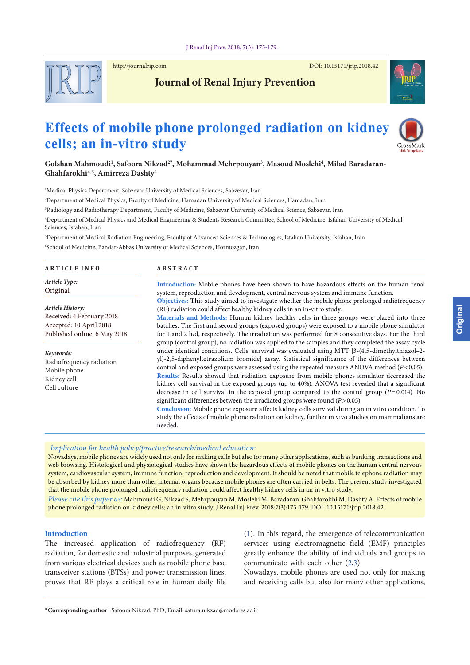

http://journalrip.com DOI: [10.15171/jrip.2018.4](https://doi.org/10.15171/jrip.2018.42)2

## **Journal of Renal Injury Prevention**

# **Effects of mobile phone prolonged radiation on kidney cells; an in-vitro study**



**Golshan Mahmoudi1 , Safoora Nikzad2\* , Mohammad Mehrpouyan3 , Masoud Moslehi4 , Milad Baradaran-Ghahfarokhi4, 5, Amirreza Dashty6**

1 Medical Physics Department, Sabzevar University of Medical Sciences, Sabzevar, Iran

2 Department of Medical Physics, Faculty of Medicine, Hamadan University of Medical Sciences, Hamadan, Iran

3 Radiology and Radiotherapy Department, Faculty of Medicine, Sabzevar University of Medical Science, Sabzevar, Iran

4 Department of Medical Physics and Medical Engineering & Students Research Committee, School of Medicine, Isfahan University of Medical Sciences, Isfahan, Iran

5 Department of Medical Radiation Engineering, Faculty of Advanced Sciences & Technologies, Isfahan University, Isfahan, Iran 6 School of Medicine, Bandar-Abbas University of Medical Sciences, Hormozgan, Iran

| <b>ARTICLE INFO</b>                                                                                                                                                                              | <b>ABSTRACT</b>                                                                                                                                                                                                                                                                                                                                                                                                                                                                                                                                                                                                                                                                                                                                                                                                                                                                                            |  |  |  |  |
|--------------------------------------------------------------------------------------------------------------------------------------------------------------------------------------------------|------------------------------------------------------------------------------------------------------------------------------------------------------------------------------------------------------------------------------------------------------------------------------------------------------------------------------------------------------------------------------------------------------------------------------------------------------------------------------------------------------------------------------------------------------------------------------------------------------------------------------------------------------------------------------------------------------------------------------------------------------------------------------------------------------------------------------------------------------------------------------------------------------------|--|--|--|--|
| Article Type:<br>Original                                                                                                                                                                        | Introduction: Mobile phones have been shown to have hazardous effects on the human renal<br>system, reproduction and development, central nervous system and immune function.                                                                                                                                                                                                                                                                                                                                                                                                                                                                                                                                                                                                                                                                                                                              |  |  |  |  |
| Article History:<br>Received: 4 February 2018<br>Accepted: 10 April 2018<br>Published online: 6 May 2018<br>Keywords:<br>Radiofrequency radiation<br>Mobile phone<br>Kidney cell<br>Cell culture | Objectives: This study aimed to investigate whether the mobile phone prolonged radiofrequency<br>(RF) radiation could affect healthy kidney cells in an in-vitro study.<br>Materials and Methods: Human kidney healthy cells in three groups were placed into three<br>batches. The first and second groups (exposed groups) were exposed to a mobile phone simulator<br>for 1 and 2 h/d, respectively. The irradiation was performed for 8 consecutive days. For the third<br>group (control group), no radiation was applied to the samples and they completed the assay cycle                                                                                                                                                                                                                                                                                                                           |  |  |  |  |
|                                                                                                                                                                                                  | under identical conditions. Cells' survival was evaluated using MTT [3-(4,5-dimethylthiazol-2-<br>yl)-2,5-diphenyltetrazolium bromide] assay. Statistical significance of the differences between<br>control and exposed groups were assessed using the repeated measure ANOVA method ( $P < 0.05$ ).<br>Results: Results showed that radiation exposure from mobile phones simulator decreased the<br>kidney cell survival in the exposed groups (up to 40%). ANOVA test revealed that a significant<br>decrease in cell survival in the exposed group compared to the control group $(P=0.014)$ . No<br>significant differences between the irradiated groups were found $(P>0.05)$ .<br>Conclusion: Mobile phone exposure affects kidney cells survival during an in vitro condition. To<br>study the effects of mobile phone radiation on kidney, further in vivo studies on mammalians are<br>needed. |  |  |  |  |

web browsing. Histological and physiological studies have shown the hazardous effects of mobile phones on the human central nervous system, cardiovascular system, immune function, reproduction and development. It should be noted that mobile telephone radiation may be absorbed by kidney more than other internal organs because mobile phones are often carried in belts. The present study investigated that the mobile phone prolonged radiofrequency radiation could affect healthy kidney cells in an in vitro study.

*Please cite this paper as:* Mahmoudi G, Nikzad S, Mehrpouyan M, Moslehi M, Baradaran-Ghahfarokhi M, Dashty A. Effects of mobile phone prolonged radiation on kidney cells; an in-vitro study. J Renal Inj Prev. 2018;7(3):175-179. DOI: 10.15171/jrip.2018.42.

#### **Introduction**

The increased application of radiofrequency (RF) radiation, for domestic and industrial purposes, generated from various electrical devices such as mobile phone base transceiver stations (BTSs) and power transmission lines, proves that RF plays a critical role in human daily life [\(1](#page-3-0)). In this regard, the emergence of telecommunication services using electromagnetic field (EMF) principles greatly enhance the ability of individuals and groups to communicate with each other ([2,](#page-3-1)[3\)](#page-3-2).

Nowadays, mobile phones are used not only for making and receiving calls but also for many other applications,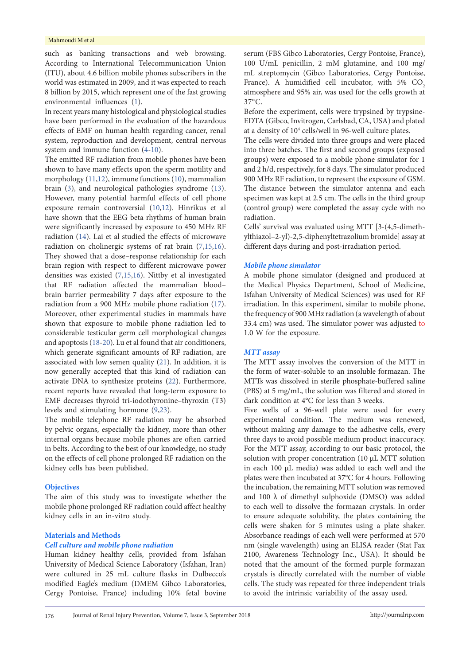#### Mahmoudi M et al

such as banking transactions and web browsing. According to International Telecommunication Union (ITU), about 4.6 billion mobile phones subscribers in the world was estimated in 2009, and it was expected to reach 8 billion by 2015, which represent one of the fast growing environmental influences ([1\)](#page-3-0).

In recent years many histological and physiological studies have been performed in the evaluation of the hazardous effects of EMF on human health regarding cancer, renal system, reproduction and development, central nervous system and immune function ([4-](#page-3-3)[10\)](#page-3-4).

The emitted RF radiation from mobile phones have been shown to have many effects upon the sperm motility and morphology ([11](#page-3-5),[12](#page-3-6)), immune functions ([10](#page-3-4)), mammalian brain [\(3](#page-3-2)), and neurological pathologies syndrome ([13\)](#page-3-7). However, many potential harmful effects of cell phone exposure remain controversial ([10](#page-3-4),[12](#page-3-6)). Hinrikus et al have shown that the EEG beta rhythms of human brain were significantly increased by exposure to 450 MHz RF radiation ([14](#page-4-0)). Lai et al studied the effects of microwave radiation on cholinergic systems of rat brain [\(7,](#page-3-8)[15,](#page-4-1)[16\)](#page-4-2). They showed that a dose–response relationship for each brain region with respect to different microwave power densities was existed [\(7](#page-3-8)[,15](#page-4-1)[,16\)](#page-4-2). Nittby et al investigated that RF radiation affected the mammalian blood– brain barrier permeability 7 days after exposure to the radiation from a 900 MHz mobile phone radiation ([17\)](#page-4-3). Moreover, other experimental studies in mammals have shown that exposure to mobile phone radiation led to considerable testicular germ cell morphological changes and apoptosis ([18](#page-4-4)-[20\)](#page-4-5). Lu et al found that air conditioners, which generate significant amounts of RF radiation, are associated with low semen quality ([21](#page-4-6)). In addition, it is now generally accepted that this kind of radiation can activate DNA to synthesize proteins [\(22\)](#page-4-7). Furthermore, recent reports have revealed that long-term exposure to EMF decreases thyroid tri-iodothyronine–thyroxin (T3) levels and stimulating hormone [\(9](#page-3-9)[,23\)](#page-4-8).

The mobile telephone RF radiation may be absorbed by pelvic organs, especially the kidney, more than other internal organs because mobile phones are often carried in belts. According to the best of our knowledge, no study on the effects of cell phone prolonged RF radiation on the kidney cells has been published.

#### **Objectives**

The aim of this study was to investigate whether the mobile phone prolonged RF radiation could affect healthy kidney cells in an in-vitro study.

#### **Materials and Methods**

#### *Cell culture and mobile phone radiation*

Human kidney healthy cells, provided from Isfahan University of Medical Science Laboratory (Isfahan, Iran) were cultured in 25 mL culture flasks in Dulbecco's modified Eagle's medium (DMEM Gibco Laboratories, Cergy Pontoise, France) including 10% fetal bovine serum (FBS Gibco Laboratories, Cergy Pontoise, France), 100 U/mL penicillin, 2 mM glutamine, and 100 mg/ mL streptomycin (Gibco Laboratories, Cergy Pontoise, France). A humidified cell incubator, with  $5\%$  CO<sub>2</sub> atmosphere and 95% air, was used for the cells growth at 37°C.

Before the experiment, cells were trypsined by trypsine-EDTA (Gibco, Invitrogen, Carlsbad, CA, USA) and plated at a density of 10<sup>4</sup> cells/well in 96-well culture plates.

The cells were divided into three groups and were placed into three batches. The first and second groups (exposed groups) were exposed to a mobile phone simulator for 1 and 2 h/d, respectively, for 8 days. The simulator produced 900 MHz RF radiation, to represent the exposure of GSM. The distance between the simulator antenna and each specimen was kept at 2.5 cm. The cells in the third group (control group) were completed the assay cycle with no radiation.

Cells' survival was evaluated using MTT [3-(4,5-dimethylthiazol–2-yl)-2,5-diphenyltetrazolium bromide] assay at different days during and post-irradiation period.

#### *Mobile phone simulator*

A mobile phone simulator (designed and produced at the Medical Physics Department, School of Medicine, Isfahan University of Medical Sciences) was used for RF irradiation. In this experiment, similar to mobile phone, the frequency of 900 MHz radiation (a wavelength of about 33.4 cm) was used. The simulator power was adjusted to 1.0 W for the exposure.

#### *MTT assay*

The MTT assay involves the conversion of the MTT in the form of water-soluble to an insoluble formazan. The MTTs was dissolved in sterile phosphate-buffered saline (PBS) at 5 mg/mL, the solution was filtered and stored in dark condition at 4°C for less than 3 weeks.

Five wells of a 96-well plate were used for every experimental condition. The medium was renewed, without making any damage to the adhesive cells, every three days to avoid possible medium product inaccuracy. For the MTT assay, according to our basic protocol, the solution with proper concentration (10 µL MTT solution in each 100 µL media) was added to each well and the plates were then incubated at 37°C for 4 hours. Following the incubation, the remaining MTT solution was removed and 100 λ of dimethyl sulphoxide (DMSO) was added to each well to dissolve the formazan crystals. In order to ensure adequate solubility, the plates containing the cells were shaken for 5 minutes using a plate shaker. Absorbance readings of each well were performed at 570 nm (single wavelength) using an ELISA reader (Stat Fax 2100, Awareness Technology Inc., USA). It should be noted that the amount of the formed purple formazan crystals is directly correlated with the number of viable cells. The study was repeated for three independent trials to avoid the intrinsic variability of the assay used.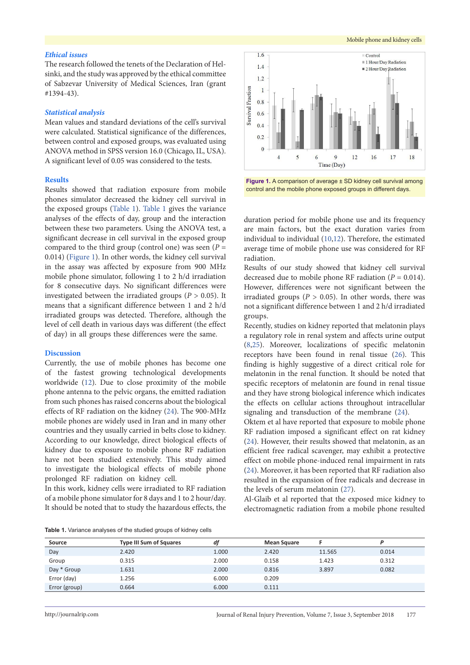#### *Ethical issues*

The research followed the tenets of the Declaration of Helsinki, and the study was approved by the ethical committee of Sabzevar University of Medical Sciences, Iran (grant #1394-43).

#### *Statistical analysis*

Mean values and standard deviations of the cell's survival were calculated. Statistical significance of the differences, between control and exposed groups, was evaluated using ANOVA method in SPSS version 16.0 (Chicago, IL, USA). A significant level of 0.05 was considered to the tests.

#### **Results**

Results showed that radiation exposure from mobile phones simulator decreased the kidney cell survival in the exposed groups ([Table](#page-2-0) 1). [Table](#page-2-0) 1 gives the variance analyses of the effects of day, group and the interaction between these two parameters. Using the ANOVA test, a significant decrease in cell survival in the exposed group compared to the third group (control one) was seen  $(P =$ 0.014) ([Figure](#page-2-1) 1). In other words, the kidney cell survival in the assay was affected by exposure from 900 MHz mobile phone simulator, following 1 to 2 h/d irradiation for 8 consecutive days. No significant differences were investigated between the irradiated groups ( $P > 0.05$ ). It means that a significant difference between 1 and 2 h/d irradiated groups was detected. Therefore, although the level of cell death in various days was different (the effect of day) in all groups these differences were the same.

#### **Discussion**

Currently, the use of mobile phones has become one of the fastest growing technological developments worldwide ([12](#page-3-6)). Due to close proximity of the mobile phone antenna to the pelvic organs, the emitted radiation from such phones has raised concerns about the biological effects of RF radiation on the kidney [\(24\)](#page-4-9). The 900-MHz mobile phones are widely used in Iran and in many other countries and they usually carried in belts close to kidney. According to our knowledge, direct biological effects of kidney due to exposure to mobile phone RF radiation have not been studied extensively. This study aimed to investigate the biological effects of mobile phone prolonged RF radiation on kidney cell.

In this work, kidney cells were irradiated to RF radiation of a mobile phone simulator for 8 days and 1 to 2 hour/day. It should be noted that to study the hazardous effects, the

<span id="page-2-1"></span>

**Figure 1.** A comparison of average ± SD kidney cell survival among control and the mobile phone exposed groups in different days.

duration period for mobile phone use and its frequency are main factors, but the exact duration varies from individual to individual [\(10](#page-3-4)[,12\)](#page-3-6). Therefore, the estimated average time of mobile phone use was considered for RF radiation.

Results of our study showed that kidney cell survival decreased due to mobile phone RF radiation  $(P = 0.014)$ . However, differences were not significant between the irradiated groups ( $P > 0.05$ ). In other words, there was not a significant difference between 1 and 2 h/d irradiated groups.

Recently, studies on kidney reported that melatonin plays a regulatory role in renal system and affects urine output [\(8](#page-3-10),[25](#page-4-10)). Moreover, localizations of specific melatonin receptors have been found in renal tissue ([26\)](#page-4-11). This finding is highly suggestive of a direct critical role for melatonin in the renal function. It should be noted that specific receptors of melatonin are found in renal tissue and they have strong biological inference which indicates the effects on cellular actions throughout intracellular signaling and transduction of the membrane ([24](#page-4-9)).

Oktem et al have reported that exposure to mobile phone RF radiation imposed a significant effect on rat kidney [\(24](#page-4-9)). However, their results showed that melatonin, as an efficient free radical scavenger, may exhibit a protective effect on mobile phone-induced renal impairment in rats [\(24](#page-4-9)). Moreover, it has been reported that RF radiation also resulted in the expansion of free radicals and decrease in the levels of serum melatonin ([27\)](#page-4-12).

Al-Glaib et al reported that the exposed mice kidney to electromagnetic radiation from a mobile phone resulted

<span id="page-2-0"></span>**Table 1.** Variance analyses of the studied groups of kidney cells

| Source        | <b>Type III Sum of Squares</b> | df    | <b>Mean Square</b> |        |       |
|---------------|--------------------------------|-------|--------------------|--------|-------|
| Day           | 2.420                          | 1.000 | 2.420              | 11.565 | 0.014 |
| Group         | 0.315                          | 2.000 | 0.158              | 1.423  | 0.312 |
| Day * Group   | 1.631                          | 2.000 | 0.816              | 3.897  | 0.082 |
| Error (day)   | 1.256                          | 6.000 | 0.209              |        |       |
| Error (group) | 0.664                          | 6.000 | 0.111              |        |       |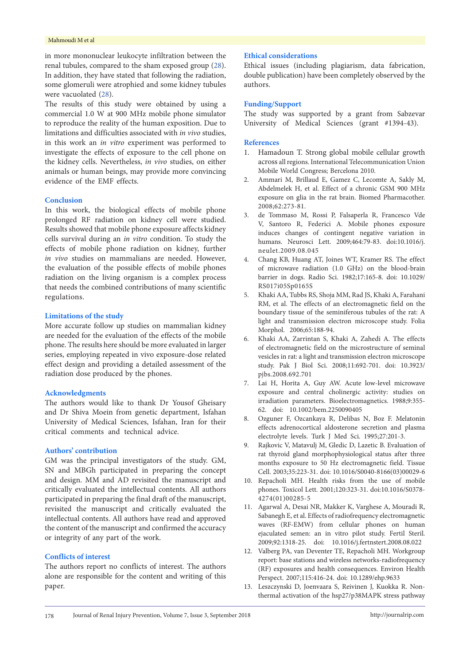#### Mahmoudi M et al

in more mononuclear leukocyte infiltration between the renal tubules, compared to the sham exposed group ([28\)](#page-4-13). In addition, they have stated that following the radiation, some glomeruli were atrophied and some kidney tubules were vacuolated ([28](#page-4-13)).

The results of this study were obtained by using a commercial 1.0 W at 900 MHz mobile phone simulator to reproduce the reality of the human exposition. Due to limitations and difficulties associated with *in vivo* studies, in this work an *in vitro* experiment was performed to investigate the effects of exposure to the cell phone on the kidney cells. Nevertheless, *in vivo* studies, on either animals or human beings, may provide more convincing evidence of the EMF effects.

#### **Conclusion**

In this work, the biological effects of mobile phone prolonged RF radiation on kidney cell were studied. Results showed that mobile phone exposure affects kidney cells survival during an *in vitro* condition. To study the effects of mobile phone radiation on kidney, further *in vivo* studies on mammalians are needed. However, the evaluation of the possible effects of mobile phones radiation on the living organism is a complex process that needs the combined contributions of many scientific regulations.

#### **Limitations of the study**

More accurate follow up studies on mammalian kidney are needed for the evaluation of the effects of the mobile phone. The results here should be more evaluated in larger series, employing repeated in vivo exposure-dose related effect design and providing a detailed assessment of the radiation dose produced by the phones.

#### **Acknowledgments**

The authors would like to thank Dr Yousof Gheisary and Dr Shiva Moein from genetic department, Isfahan University of Medical Sciences, Isfahan, Iran for their critical comments and technical advice.

### **Authors' contribution**

GM was the principal investigators of the study. GM, SN and MBGh participated in preparing the concept and design. MM and AD revisited the manuscript and critically evaluated the intellectual contents. All authors participated in preparing the final draft of the manuscript, revisited the manuscript and critically evaluated the intellectual contents. All authors have read and approved the content of the manuscript and confirmed the accuracy or integrity of any part of the work.

#### **Conflicts of interest**

The authors report no conflicts of interest. The authors alone are responsible for the content and writing of this paper.

#### **Ethical considerations**

Ethical issues (including plagiarism, data fabrication, double publication) have been completely observed by the authors.

#### **Funding/Support**

The study was supported by a grant from Sabzevar University of Medical Sciences (grant #1394-43).

#### **References**

- <span id="page-3-0"></span>1. Hamadoun T. Strong global mobile cellular growth across all regions. International Telecommunication Union Mobile World Congress; Bercelona 2010.
- <span id="page-3-1"></span>2. Ammari M, Brillaud E, Gamez C, Lecomte A, Sakly M, Abdelmelek H, et al. Effect of a chronic GSM 900 MHz exposure on glia in the rat brain. Biomed Pharmacother. 2008;62:273-81.
- <span id="page-3-2"></span>3. de Tommaso M, Rossi P, Falsaperla R, Francesco Vde V, Santoro R, Federici A. Mobile phones exposure induces changes of contingent negative variation in humans. Neurosci Lett. 2009;464:79-83. doi:10.1016/j. neulet.2009.08.045
- <span id="page-3-3"></span>4. Chang KB, Huang AT, Joines WT, Kramer RS. The effect of microwave radiation (1.0 GHz) on the blood-brain barrier in dogs. Radio Sci. 1982;17:165-8. doi: 10.1029/ RS017i05Sp0165S
- 5. Khaki AA, Tubbs RS, Shoja MM, Rad JS, Khaki A, Farahani RM, et al. The effects of an electromagnetic field on the boundary tissue of the seminiferous tubules of the rat: A light and transmission electron microscope study. Folia Morphol. 2006;65:188-94.
- 6. Khaki AA, Zarrintan S, Khaki A, Zahedi A. The effects of electromagnetic field on the microstructure of seminal vesicles in rat: a light and transmission electron microscope study. Pak J Biol Sci. 2008;11:692-701. doi: 10.3923/ pjbs.2008.692.701
- <span id="page-3-8"></span>Lai H, Horita A, Guy AW. Acute low-level microwave exposure and central cholinergic activity: studies on irradiation parameters. Bioelectromagnetics. 1988;9:355- 62. doi: 10.1002/bem.2250090405
- <span id="page-3-10"></span>8. Ozguner F, Ozcankaya R, Delibas N, Boz F. Melatonin effects adrenocortical aldosterone secretion and plasma electrolyte levels. Turk J Med Sci. 1995;27:201-3.
- <span id="page-3-9"></span>9. Rajkovic V, Matavulj M, Gledic D, Lazetic B. Evaluation of rat thyroid gland morphophysiological status after three months exposure to 50 Hz electromagnetic field. Tissue Cell. 2003;35:223-31. doi: 10.1016/S0040-8166(03)00029-6
- <span id="page-3-4"></span>10. Repacholi MH. Health risks from the use of mobile phones. Toxicol Lett. 2001;120:323-31. doi:10.1016/S0378- 4274(01)00285-5
- <span id="page-3-5"></span>11. Agarwal A, Desai NR, Makker K, Varghese A, Mouradi R, Sabanegh E, et al. Effects of radiofrequency electromagnetic waves (RF-EMW) from cellular phones on human ejaculated semen: an in vitro pilot study. Fertil Steril. 2009;92:1318-25. doi: 10.1016/j.fertnstert.2008.08.022
- <span id="page-3-6"></span>12. Valberg PA, van Deventer TE, Repacholi MH. Workgroup report: base stations and wireless networks-radiofrequency (RF) exposures and health consequences. Environ Health Perspect. 2007;115:416-24. doi: 10.1289/ehp.9633
- <span id="page-3-7"></span>13. Leszczynski D, Joenvaara S, Reivinen J, Kuokka R. Nonthermal activation of the hsp27/p38MAPK stress pathway